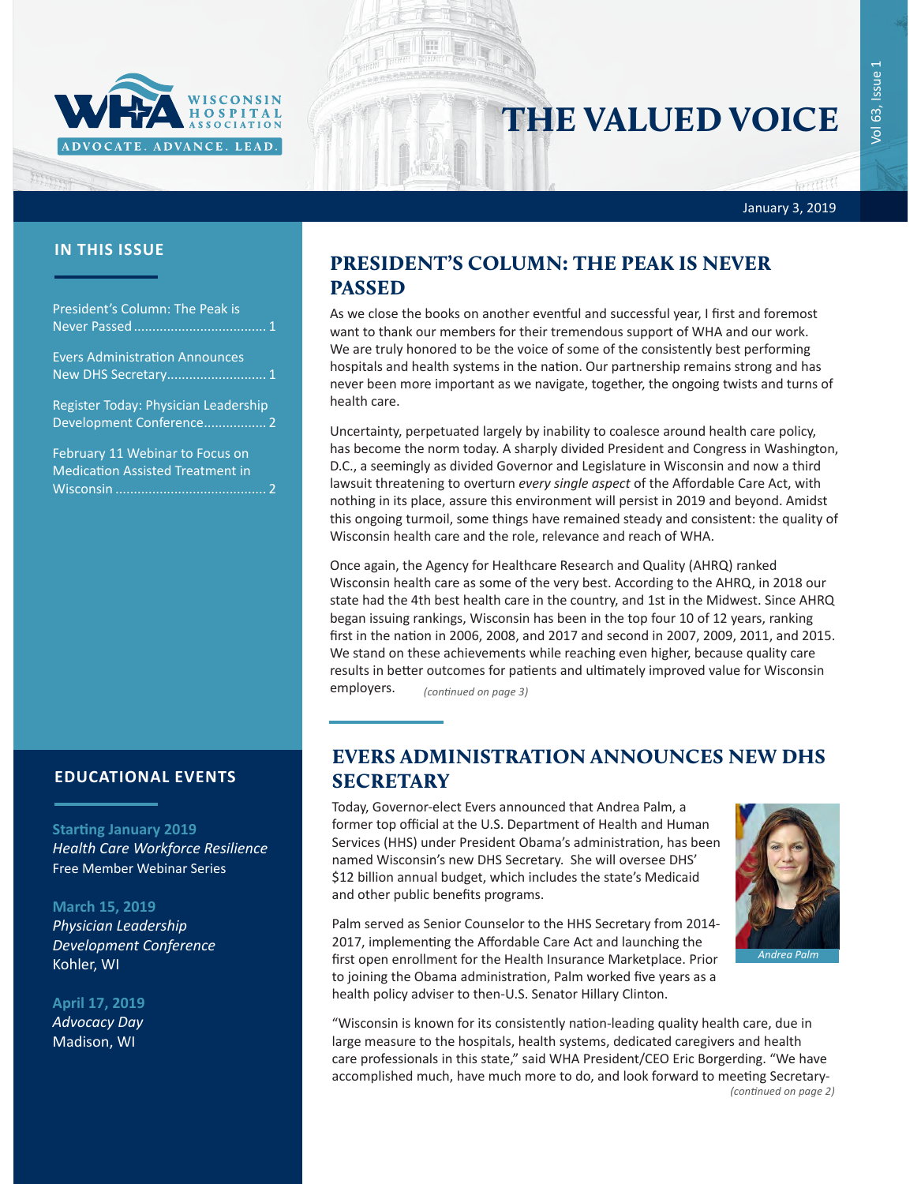

# THE VALUED VOICE

January 3, 2019

Harrison

President's Column: The Peak is Never Passed.................................... 1 Evers Administration Announces New DHS Secretary........................... 1 [Register Today: Physician Leadership](#page-1-0)  [Development Conference.................](#page-1-0) 2

[February 11 Webinar to Focus on](#page-1-0)  [Medication Assisted Treatment in](#page-1-0)  Wisconsin [.........................................](#page-1-0) 2

### **EDUCATIONAL EVENTS**

#### **Starting January 2019**

*[Health Care Workforce Resilience](http://www.whareg4.org/WorkforceResilience/)* Free Member Webinar Series

#### **March 15, 2019**

*[Physician Leadership](http://www.cvent.com/events/19l-pldc-03-15-16/event-summary-cce6c95196974bcc87660b15b6e87c43.aspx)  [Development Conference](http://www.cvent.com/events/19l-pldc-03-15-16/event-summary-cce6c95196974bcc87660b15b6e87c43.aspx)* Kohler, WI

#### **April 17, 2019**

*Advocacy Day* Madison, WI

## **IN THIS ISSUE** PRESIDENT'S COLUMN: THE PEAK IS NEVER PASSED

As we close the books on another eventful and successful year, I first and foremost want to thank our members for their tremendous support of WHA and our work. We are truly honored to be the voice of some of the consistently best performing hospitals and health systems in the nation. Our partnership remains strong and has never been more important as we navigate, together, the ongoing twists and turns of health care.

Uncertainty, perpetuated largely by inability to coalesce around health care policy, has become the norm today. A sharply divided President and Congress in Washington, D.C., a seemingly as divided Governor and Legislature in Wisconsin and now a third lawsuit threatening to overturn *every single aspect* of the Affordable Care Act, with nothing in its place, assure this environment will persist in 2019 and beyond. Amidst this ongoing turmoil, some things have remained steady and consistent: the quality of Wisconsin health care and the role, relevance and reach of WHA.

Once again, the Agency for Healthcare Research and Quality (AHRQ) ranked Wisconsin health care as some of the very best. According to the AHRQ, in 2018 our state had the 4th best health care in the country, and 1st in the Midwest. Since AHRQ began issuing rankings, Wisconsin has been in the top four 10 of 12 years, ranking first in the nation in 2006, 2008, and 2017 and second in 2007, 2009, 2011, and 2015. We stand on these achievements while reaching even higher, because quality care results in better outcomes for patients and ultimately improved value for Wisconsin employers. *(continued on page 3)*

### EVERS ADMINISTRATION ANNOUNCES NEW DHS **SECRETARY**

Today, Governor-elect Evers announced that Andrea Palm, a former top official at the U.S. Department of Health and Human Services (HHS) under President Obama's administration, has been named Wisconsin's new DHS Secretary. She will oversee DHS' \$12 billion annual budget, which includes the state's Medicaid and other public benefits programs.

Palm served as Senior Counselor to the HHS Secretary from 2014- 2017, implementing the Affordable Care Act and launching the first open enrollment for the Health Insurance Marketplace. Prior to joining the Obama administration, Palm worked five years as a health policy adviser to then-U.S. Senator Hillary Clinton.



"Wisconsin is known for its consistently nation-leading quality health care, due in large measure to the hospitals, health systems, dedicated caregivers and health care professionals in this state," said WHA President/CEO Eric Borgerding. "We have accomplished much, have much more to do, and look forward to meeting Secretary- *(continued on page 2)*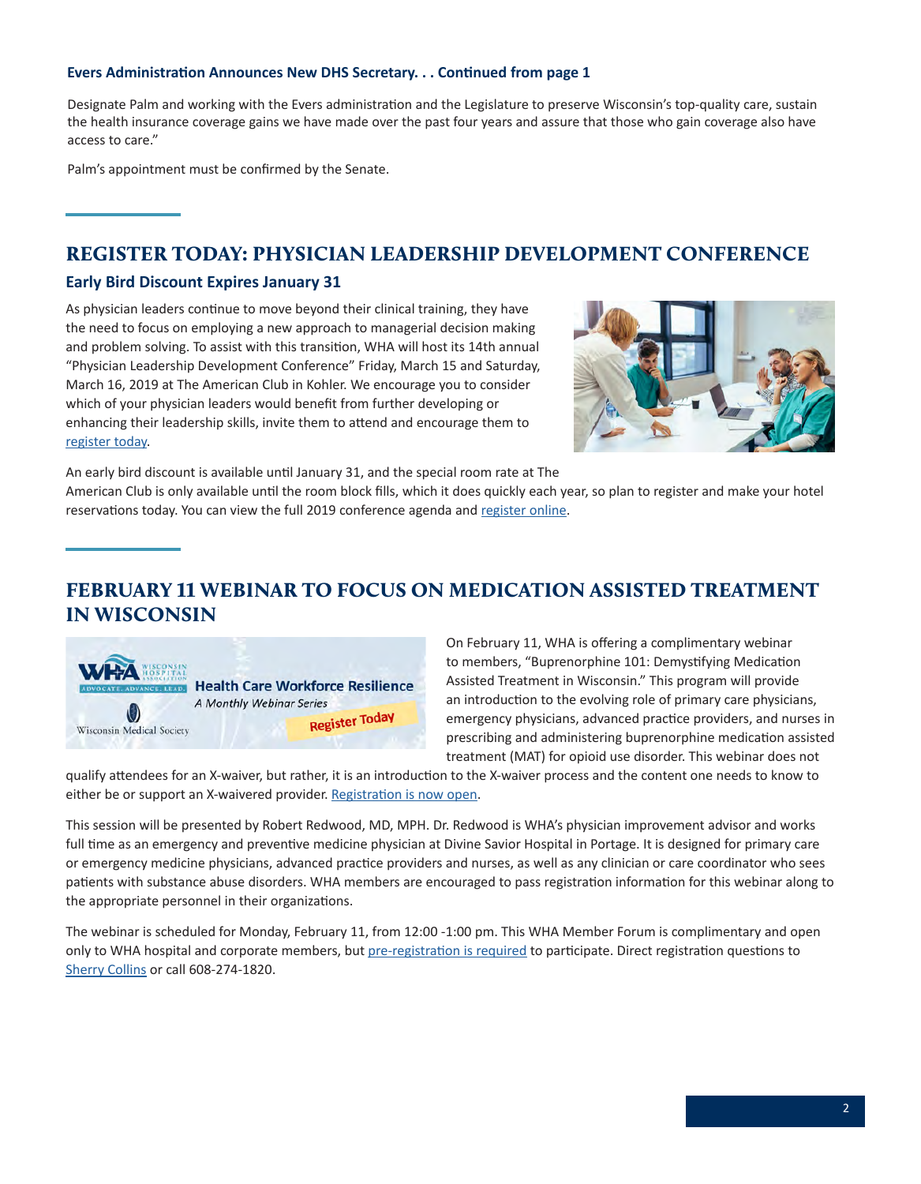### <span id="page-1-0"></span>**Evers Administration Announces New DHS Secretary. . . Continued from page 1**

Designate Palm and working with the Evers administration and the Legislature to preserve Wisconsin's top-quality care, sustain the health insurance coverage gains we have made over the past four years and assure that those who gain coverage also have access to care."

Palm's appointment must be confirmed by the Senate.

### REGISTER TODAY: PHYSICIAN LEADERSHIP DEVELOPMENT CONFERENCE

### **Early Bird Discount Expires January 31**

As physician leaders continue to move beyond their clinical training, they have the need to focus on employing a new approach to managerial decision making and problem solving. To assist with this transition, WHA will host its 14th annual "Physician Leadership Development Conference" Friday, March 15 and Saturday, March 16, 2019 at The American Club in Kohler. We encourage you to consider which of your physician leaders would benefit from further developing or enhancing their leadership skills, invite them to attend and encourage them to [register today](http://www.cvent.com/events/19l-pldc-03-15-16/event-summary-cce6c95196974bcc87660b15b6e87c43.aspx).



An early bird discount is available until January 31, and the special room rate at The

American Club is only available until the room block fills, which it does quickly each year, so plan to register and make your hotel reservations today. You can view the full 2019 conference agenda and [register online.](http://www.cvent.com/events/19l-pldc-03-15-16/event-summary-cce6c95196974bcc87660b15b6e87c43.aspx)

### FEBRUARY 11 WEBINAR TO FOCUS ON MEDICATION ASSISTED TREATMENT IN WISCONSIN



On February 11, WHA is offering a complimentary webinar to members, "Buprenorphine 101: Demystifying Medication Assisted Treatment in Wisconsin." This program will provide an introduction to the evolving role of primary care physicians, emergency physicians, advanced practice providers, and nurses in prescribing and administering buprenorphine medication assisted treatment (MAT) for opioid use disorder. This webinar does not

qualify attendees for an X-waiver, but rather, it is an introduction to the X-waiver process and the content one needs to know to either be or support an X-waivered provider. [Registration is now open.](http://www.whareg4.org/Buprenorphine1010211)

This session will be presented by Robert Redwood, MD, MPH. Dr. Redwood is WHA's physician improvement advisor and works full time as an emergency and preventive medicine physician at Divine Savior Hospital in Portage. It is designed for primary care or emergency medicine physicians, advanced practice providers and nurses, as well as any clinician or care coordinator who sees patients with substance abuse disorders. WHA members are encouraged to pass registration information for this webinar along to the appropriate personnel in their organizations.

The webinar is scheduled for Monday, February 11, from 12:00 -1:00 pm. This WHA Member Forum is complimentary and open only to WHA hospital and corporate members, but [pre-registration is required](http://www.whareg4.org/Buprenorphine1010211) to participate. Direct registration questions to [Sherry Collins](mailto:scollins@wha.org) or call 608-274-1820.